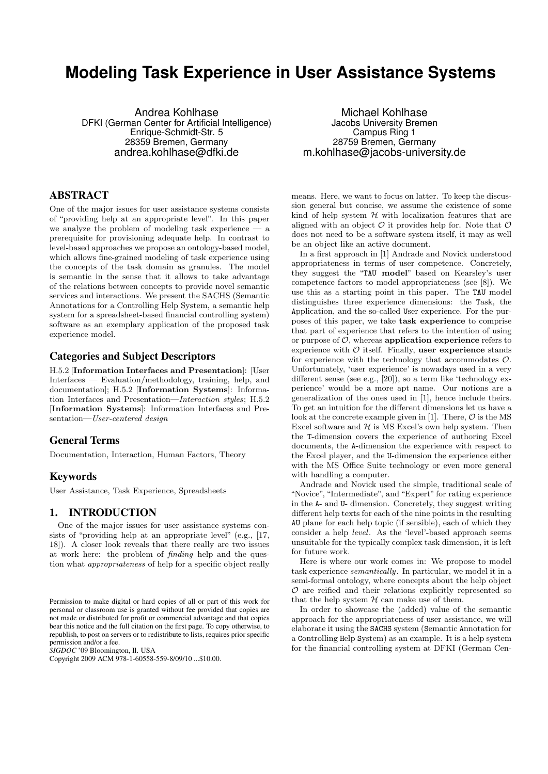# **Modeling Task Experience in User Assistance Systems**

Andrea Kohlhase DFKI (German Center for Artificial Intelligence) Enrique-Schmidt-Str. 5 28359 Bremen, Germany andrea.kohlhase@dfki.de

## ABSTRACT

One of the major issues for user assistance systems consists of "providing help at an appropriate level". In this paper we analyze the problem of modeling task experience — a prerequisite for provisioning adequate help. In contrast to level-based approaches we propose an ontology-based model, which allows fine-grained modeling of task experience using the concepts of the task domain as granules. The model is semantic in the sense that it allows to take advantage of the relations between concepts to provide novel semantic services and interactions. We present the SACHS (Semantic Annotations for a Controlling Help System, a semantic help system for a spreadsheet-based financial controlling system) software as an exemplary application of the proposed task experience model.

# Categories and Subject Descriptors

H.5.2 [Information Interfaces and Presentation]: [User Interfaces — Evaluation/methodology, training, help, and documentation]; H.5.2 [Information Systems]: Information Interfaces and Presentation—Interaction styles; H.5.2 [Information Systems]: Information Interfaces and Presentation—User-centered design

#### General Terms

Documentation, Interaction, Human Factors, Theory

#### Keywords

User Assistance, Task Experience, Spreadsheets

## 1. INTRODUCTION

One of the major issues for user assistance systems consists of "providing help at an appropriate level" (e.g., [17, 18]). A closer look reveals that there really are two issues at work here: the problem of finding help and the question what appropriateness of help for a specific object really

*SIGDOC* '09 Bloomington, Il. USA

Michael Kohlhase Jacobs University Bremen Campus Ring 1 28759 Bremen, Germany m.kohlhase@jacobs-university.de

means. Here, we want to focus on latter. To keep the discussion general but concise, we assume the existence of some kind of help system  $H$  with localization features that are aligned with an object  $\mathcal O$  it provides help for. Note that  $\mathcal O$ does not need to be a software system itself, it may as well be an object like an active document.

In a first approach in [1] Andrade and Novick understood appropriateness in terms of user competence. Concretely, they suggest the "TAU model" based on Kearsley's user competence factors to model appropriateness (see [8]). We use this as a starting point in this paper. The TAU model distinguishes three experience dimensions: the Task, the Application, and the so-called User experience. For the purposes of this paper, we take task experience to comprise that part of experience that refers to the intention of using or purpose of  $\mathcal{O}$ , whereas **application** experience refers to experience with  $\mathcal O$  itself. Finally, user experience stands for experience with the technology that accommodates  $O$ . Unfortunately, 'user experience' is nowadays used in a very different sense (see e.g., [20]), so a term like 'technology experience' would be a more apt name. Our notions are a generalization of the ones used in [1], hence include theirs. To get an intuition for the different dimensions let us have a look at the concrete example given in [1]. There,  $\mathcal O$  is the MS Excel software and  $H$  is MS Excel's own help system. Then the T-dimension covers the experience of authoring Excel documents, the A-dimension the experience with respect to the Excel player, and the U-dimension the experience either with the MS Office Suite technology or even more general with handling a computer.

Andrade and Novick used the simple, traditional scale of "Novice", "Intermediate", and "Expert" for rating experience in the A- and U- dimension. Concretely, they suggest writing different help texts for each of the nine points in the resulting AU plane for each help topic (if sensible), each of which they consider a help level. As the 'level'-based approach seems unsuitable for the typically complex task dimension, it is left for future work.

Here is where our work comes in: We propose to model task experience semantically. In particular, we model it in a semi-formal ontology, where concepts about the help object  $\mathcal O$  are reified and their relations explicitly represented so that the help system  $H$  can make use of them.

In order to showcase the (added) value of the semantic approach for the appropriateness of user assistance, we will elaborate it using the SACHS system (Semantic Annotation for a Controlling Help System) as an example. It is a help system for the financial controlling system at DFKI (German Cen-

Permission to make digital or hard copies of all or part of this work for personal or classroom use is granted without fee provided that copies are not made or distributed for profit or commercial advantage and that copies bear this notice and the full citation on the first page. To copy otherwise, to republish, to post on servers or to redistribute to lists, requires prior specific permission and/or a fee.

Copyright 2009 ACM 978-1-60558-559-8/09/10 ...\$10.00.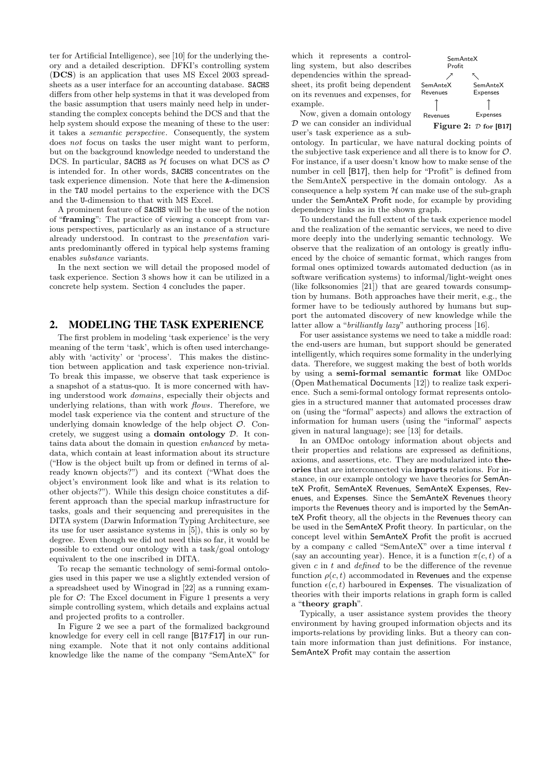ter for Artificial Intelligence), see [10] for the underlying theory and a detailed description. DFKI's controlling system (DCS) is an application that uses MS Excel 2003 spreadsheets as a user interface for an accounting database. SACHS differs from other help systems in that it was developed from the basic assumption that users mainly need help in understanding the complex concepts behind the DCS and that the help system should expose the meaning of these to the user: it takes a semantic perspective. Consequently, the system does not focus on tasks the user might want to perform, but on the background knowledge needed to understand the DCS. In particular, SACHS as  $H$  focuses on what DCS as  $O$ is intended for. In other words, SACHS concentrates on the task experience dimension. Note that here the A-dimension in the TAU model pertains to the experience with the DCS and the U-dimension to that with MS Excel.

A prominent feature of SACHS will be the use of the notion of "framing": The practice of viewing a concept from various perspectives, particularly as an instance of a structure already understood. In contrast to the presentation variants predominantly offered in typical help systems framing enables substance variants.

In the next section we will detail the proposed model of task experience. Section 3 shows how it can be utilized in a concrete help system. Section 4 concludes the paper.

#### 2. MODELING THE TASK EXPERIENCE

The first problem in modeling 'task experience' is the very meaning of the term 'task', which is often used interchangeably with 'activity' or 'process'. This makes the distinction between application and task experience non-trivial. To break this impasse, we observe that task experience is a snapshot of a status-quo. It is more concerned with having understood work domains, especially their objects and underlying relations, than with work flows. Therefore, we model task experience via the content and structure of the underlying domain knowledge of the help object  $\mathcal{O}$ . Concretely, we suggest using a **domain ontology**  $D$ . It contains data about the domain in question enhanced by metadata, which contain at least information about its structure ("How is the object built up from or defined in terms of already known objects?") and its context ("What does the object's environment look like and what is its relation to other objects?"). While this design choice constitutes a different approach than the special markup infrastructure for tasks, goals and their sequencing and prerequisites in the DITA system (Darwin Information Typing Architecture, see its use for user assistance systems in [5]), this is only so by degree. Even though we did not need this so far, it would be possible to extend our ontology with a task/goal ontology equivalent to the one inscribed in DITA.

To recap the semantic technology of semi-formal ontologies used in this paper we use a slightly extended version of a spreadsheet used by Winograd in [22] as a running example for  $\mathcal{O}$ : The Excel document in Figure 1 presents a very simple controlling system, which details and explains actual and projected profits to a controller.

In Figure 2 we see a part of the formalized background knowledge for every cell in cell range [B17:F17] in our running example. Note that it not only contains additional knowledge like the name of the company "SemAnteX" for

which it represents a controlling system, but also describes dependencies within the spreadsheet, its profit being dependent on its revenues and expenses, for example.



Now, given a domain ontology D we can consider an individual user's task experience as a sub-

ontology. In particular, we have natural docking points of the subjective task experience and all there is to know for  $\mathcal{O}$ . For instance, if a user doesn't know how to make sense of the number in cell [B17], then help for "Profit" is defined from the SemAnteX perspective in the domain ontology. As a consequence a help system  $H$  can make use of the sub-graph under the SemAnteX Profit node, for example by providing dependency links as in the shown graph.

To understand the full extent of the task experience model and the realization of the semantic services, we need to dive more deeply into the underlying semantic technology. We observe that the realization of an ontology is greatly influenced by the choice of semantic format, which ranges from formal ones optimized towards automated deduction (as in software verification systems) to informal/light-weight ones (like folksonomies [21]) that are geared towards consumption by humans. Both approaches have their merit, e.g., the former have to be tediously authored by humans but support the automated discovery of new knowledge while the latter allow a "brilliantly lazy" authoring process [16].

For user assistance systems we need to take a middle road: the end-users are human, but support should be generated intelligently, which requires some formality in the underlying data. Therefore, we suggest making the best of both worlds by using a semi-formal semantic format like OMDoc (Open Mathematical Documents [12]) to realize task experience. Such a semi-formal ontology format represents ontologies in a structured manner that automated processes draw on (using the "formal" aspects) and allows the extraction of information for human users (using the "informal" aspects given in natural language); see [13] for details.

In an OMDoc ontology information about objects and their properties and relations are expressed as definitions, axioms, and assertions, etc. They are modularized into theories that are interconnected via imports relations. For instance, in our example ontology we have theories for SemAnteX Profit, SemAnteX Revenues, SemAnteX Expenses, Revenues, and Expenses. Since the SemAnteX Revenues theory imports the Revenues theory and is imported by the SemAnteX Profit theory, all the objects in the Revenues theory can be used in the SemAnteX Profit theory. In particular, on the concept level within SemAnteX Profit the profit is accrued by a company  $c$  called "SemAnteX" over a time interval  $t$ (say an accounting year). Hence, it is a function  $\pi(c, t)$  of a given  $c$  in  $t$  and *defined* to be the difference of the revenue function  $\rho(c, t)$  accommodated in Revenues and the expense function  $\epsilon(c, t)$  harboured in Expenses. The visualization of theories with their imports relations in graph form is called a "theory graph".

Typically, a user assistance system provides the theory environment by having grouped information objects and its imports-relations by providing links. But a theory can contain more information than just definitions. For instance, SemAnteX Profit may contain the assertion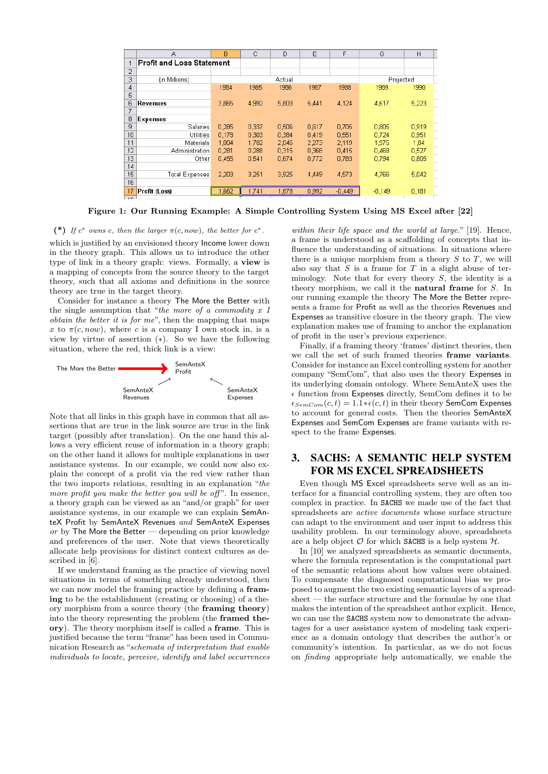|                | А                                | в     | C      | D     | E     | F        | G         | H     |  |
|----------------|----------------------------------|-------|--------|-------|-------|----------|-----------|-------|--|
| 1              | <b>Profit and Loss Statement</b> |       |        |       |       |          |           |       |  |
| 2              |                                  |       |        |       |       |          |           |       |  |
| 3              | (in Millions)                    |       | Actual |       |       |          | Projected |       |  |
| $\overline{4}$ |                                  | 1984  | 1985   | 1986  | 1987  | 1988     | 1989      | 1990  |  |
| 5              |                                  |       |        |       |       |          |           |       |  |
| 6              | Revenues                         | 3,865 | 4,992  | 5,803 | 5,441 | 4,124    | 4,617     | 5,223 |  |
| 7              |                                  |       |        |       |       |          |           |       |  |
| 8              | <b>Expenses</b>                  |       |        |       |       |          |           |       |  |
| 9              | Salaries                         | 0.285 | 0,337  | 0,506 | 0,617 | 0,705    | 0,805     | 0,919 |  |
| 10             | Utilities                        | 0.178 | 0.303  | 0.384 | 0.419 | 0.551    | 0.724     | 0.951 |  |
| 11             | Materials                        | 1,004 | 1,782  | 2.046 | 2.273 | 2.119    | 1,975     | 1.84  |  |
| 12             | Administration                   | 0.281 | 0,288  | 0,315 | 0,368 | 0.415    | 0,468     | 0.527 |  |
| 13             | Other                            | 0,455 | 0,541  | 0.674 | 0,772 | 0,783    | 0.794     | 0,805 |  |
| 14             |                                  |       |        |       |       |          |           |       |  |
| 15             | <b>Total Expenses</b>            | 2.203 | 3.251  | 3.925 | 4.449 | 4.573    | 4.766     | 5,042 |  |
| 16             |                                  |       |        |       |       |          |           |       |  |
| 17             | Profit (Loss)                    | 1,662 | 1.741  | 1,878 | 0,992 | $-0,449$ | $-0,149$  | 0,181 |  |
| $\sim$         |                                  |       |        |       |       |          |           |       |  |

Figure 1: Our Running Example: A Simple Controlling System Using MS Excel after [22]

(\*) If  $c^*$  owns c, then the larger  $\pi(c, now)$ , the better for  $c^*$ .

which is justified by an envisioned theory Income lower down in the theory graph. This allows us to introduce the other type of link in a theory graph: views. Formally, a view is a mapping of concepts from the source theory to the target theory, such that all axioms and definitions in the source theory are true in the target theory.

Consider for instance a theory The More the Better with the single assumption that "the more of a commodity  $x \, I$ obtain the better it is for me", then the mapping that maps x to  $\pi(c, now)$ , where c is a company I own stock in, is a view by virtue of assertion (∗). So we have the following situation, where the red, thick link is a view:



Note that all links in this graph have in common that all assertions that are true in the link source are true in the link target (possibly after translation). On the one hand this allows a very efficient reuse of information in a theory graph; on the other hand it allows for multiple explanations in user assistance systems. In our example, we could now also explain the concept of a profit via the red view rather than the two imports relations, resulting in an explanation "the more profit you make the better you will be off". In essence, a theory graph can be viewed as an "and/or graph" for user assistance systems, in our example we can explain SemAnteX Profit by SemAnteX Revenues and SemAnteX Expenses or by The More the Better  $-$  depending on prior knowledge and preferences of the user. Note that views theoretically allocate help provisions for distinct context cultures as described in [6].

If we understand framing as the practice of viewing novel situations in terms of something already understood, then we can now model the framing practice by defining a framing to be the establishment (creating or choosing) of a theory morphism from a source theory (the framing theory) into the theory representing the problem (the framed theory). The theory morphism itself is called a frame. This is justified because the term "frame" has been used in Communication Research as "schemata of interpretation that enable individuals to locate, perceive, identify and label occurrences

within their life space and the world at large." [19]. Hence, a frame is understood as a scaffolding of concepts that influence the understanding of situations. In situations where there is a unique morphism from a theory  $S$  to  $T$ , we will also say that  $S$  is a frame for  $T$  in a slight abuse of terminology. Note that for every theory  $S$ , the identity is a theory morphism, we call it the natural frame for S. In our running example the theory The More the Better represents a frame for Profit as well as the theories Revenues and Expenses as transitive closure in the theory graph. The view explanation makes use of framing to anchor the explanation of profit in the user's previous experience.

Finally, if a framing theory 'frames' distinct theories, then we call the set of such framed theories frame variants. Consider for instance an Excel controlling system for another company "SemCom", that also uses the theory Expenses in its underlying domain ontology. Where SemAnteX uses the  $\epsilon$  function from Expenses directly, SemCom defines it to be  $\epsilon_{SemCom}(c, t) = 1.1 * \epsilon(c, t)$  in their theory SemCom Expenses to account for general costs. Then the theories SemAnteX Expenses and SemCom Expenses are frame variants with respect to the frame Expenses.

# 3. SACHS: A SEMANTIC HELP SYSTEM FOR MS EXCEL SPREADSHEETS

Even though MS Excel spreadsheets serve well as an interface for a financial controlling system, they are often too complex in practice. In SACHS we made use of the fact that spreadsheets are active documents whose surface structure can adapt to the environment and user input to address this usability problem. In our terminology above, spreadsheets are a help object  $\mathcal O$  for which SACHS is a help system  $\mathcal H$ .

In [10] we analyzed spreadsheets as semantic documents, where the formula representation is the computational part of the semantic relations about how values were obtained. To compensate the diagnosed computational bias we proposed to augment the two existing semantic layers of a spreadsheet — the surface structure and the formulae by one that makes the intention of the spreadsheet author explicit. Hence, we can use the SACHS system now to demonstrate the advantages for a user assistance system of modeling task experience as a domain ontology that describes the author's or community's intention. In particular, as we do not focus on finding appropriate help automatically, we enable the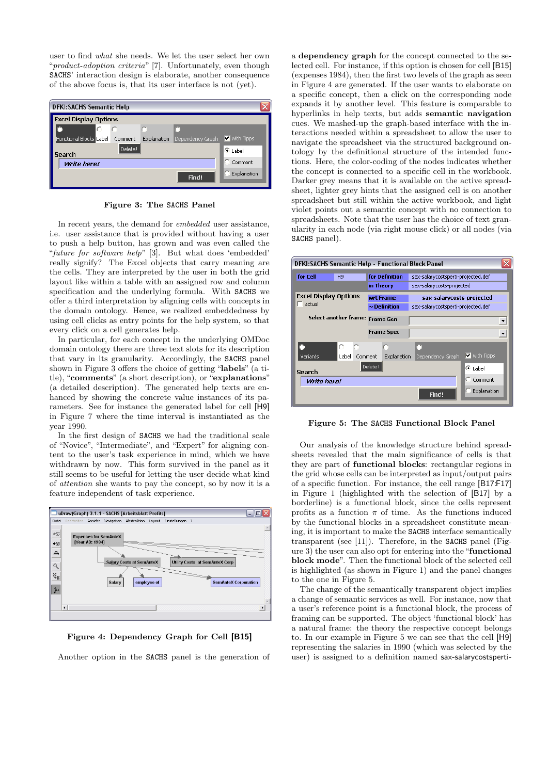user to find what she needs. We let the user select her own "product-adoption criteria" [7]. Unfortunately, even though SACHS' interaction design is elaborate, another consequence of the above focus is, that its user interface is not (yet).



Figure 3: The SACHS Panel

In recent years, the demand for embedded user assistance, i.e. user assistance that is provided without having a user to push a help button, has grown and was even called the "future for software help" [3]. But what does 'embedded' really signify? The Excel objects that carry meaning are the cells. They are interpreted by the user in both the grid layout like within a table with an assigned row and column specification and the underlying formula. With SACHS we offer a third interpretation by aligning cells with concepts in the domain ontology. Hence, we realized embeddedness by using cell clicks as entry points for the help system, so that every click on a cell generates help.

In particular, for each concept in the underlying OMDoc domain ontology there are three text slots for its description that vary in its granularity. Accordingly, the SACHS panel shown in Figure 3 offers the choice of getting "labels" (a title), "comments" (a short description), or "explanations" (a detailed description). The generated help texts are enhanced by showing the concrete value instances of its parameters. See for instance the generated label for cell [H9] in Figure 7 where the time interval is instantiated as the year 1990.

In the first design of SACHS we had the traditional scale of "Novice", "Intermediate", and "Expert" for aligning content to the user's task experience in mind, which we have withdrawn by now. This form survived in the panel as it still seems to be useful for letting the user decide what kind of attention she wants to pay the concept, so by now it is a feature independent of task experience.



Figure 4: Dependency Graph for Cell [B15]

Another option in the SACHS panel is the generation of

a dependency graph for the concept connected to the selected cell. For instance, if this option is chosen for cell [B15] (expenses 1984), then the first two levels of the graph as seen in Figure 4 are generated. If the user wants to elaborate on a specific concept, then a click on the corresponding node expands it by another level. This feature is comparable to hyperlinks in help texts, but adds semantic navigation cues. We mashed-up the graph-based interface with the interactions needed within a spreadsheet to allow the user to navigate the spreadsheet via the structured background ontology by the definitional structure of the intended functions. Here, the color-coding of the nodes indicates whether the concept is connected to a specific cell in the workbook. Darker grey means that it is available on the active spreadsheet, lighter grey hints that the assigned cell is on another spreadsheet but still within the active workbook, and light violet points out a semantic concept with no connection to spreadsheets. Note that the user has the choice of text granularity in each node (via right mouse click) or all nodes (via SACHS panel).



Figure 5: The SACHS Functional Block Panel

Our analysis of the knowledge structure behind spreadsheets revealed that the main significance of cells is that they are part of functional blocks: rectangular regions in the grid whose cells can be interpreted as input/output pairs of a specific function. For instance, the cell range [B17:F17] in Figure 1 (highlighted with the selection of [B17] by a borderline) is a functional block, since the cells represent profits as a function  $\pi$  of time. As the functions induced by the functional blocks in a spreadsheet constitute meaning, it is important to make the SACHS interface semantically transparent (see [11]). Therefore, in the SACHS panel (Figure 3) the user can also opt for entering into the "functional block mode". Then the functional block of the selected cell is highlighted (as shown in Figure 1) and the panel changes to the one in Figure 5.

The change of the semantically transparent object implies a change of semantic services as well. For instance, now that a user's reference point is a functional block, the process of framing can be supported. The object 'functional block' has a natural frame: the theory the respective concept belongs to. In our example in Figure 5 we can see that the cell [H9] representing the salaries in 1990 (which was selected by the user) is assigned to a definition named sax-salarycostsperti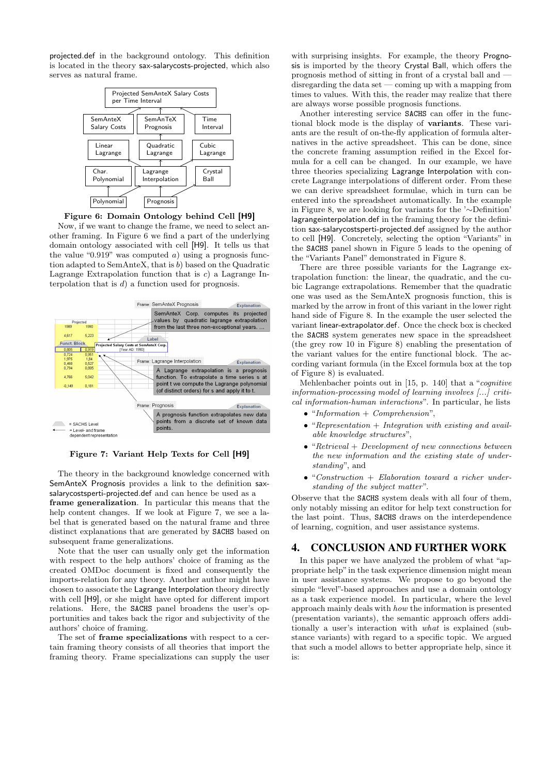projected.def in the background ontology. This definition is located in the theory sax-salarycosts-projected, which also serves as natural frame.





Now, if we want to change the frame, we need to select another framing. In Figure 6 we find a part of the underlying domain ontology associated with cell [H9]. It tells us that the value "0.919" was computed  $a$ ) using a prognosis function adapted to SemAnteX, that is b) based on the Quadratic Lagrange Extrapolation function that is  $c$ ) a Lagrange Interpolation that is  $d$ ) a function used for prognosis.



Figure 7: Variant Help Texts for Cell [H9]

The theory in the background knowledge concerned with SemAnteX Prognosis provides a link to the definition saxsalarycostsperti-projected.def and can hence be used as a

frame generalization. In particular this means that the help content changes. If we look at Figure 7, we see a label that is generated based on the natural frame and three distinct explanations that are generated by SACHS based on subsequent frame generalizations.

Note that the user can usually only get the information with respect to the help authors' choice of framing as the created OMDoc document is fixed and consequently the imports-relation for any theory. Another author might have chosen to associate the Lagrange Interpolation theory directly with cell [H9], or she might have opted for different import relations. Here, the SACHS panel broadens the user's opportunities and takes back the rigor and subjectivity of the authors' choice of framing.

The set of frame specializations with respect to a certain framing theory consists of all theories that import the framing theory. Frame specializations can supply the user

with surprising insights. For example, the theory Prognosis is imported by the theory Crystal Ball, which offers the prognosis method of sitting in front of a crystal ball and disregarding the data set — coming up with a mapping from times to values. With this, the reader may realize that there are always worse possible prognosis functions.

Another interesting service SACHS can offer in the functional block mode is the display of variants. These variants are the result of on-the-fly application of formula alternatives in the active spreadsheet. This can be done, since the concrete framing assumption reified in the Excel formula for a cell can be changed. In our example, we have three theories specializing Lagrange Interpolation with concrete Lagrange interpolations of different order. From these we can derive spreadsheet formulae, which in turn can be entered into the spreadsheet automatically. In the example in Figure 8, we are looking for variants for the '∼Definition' lagrangeinterpolation.def in the framing theory for the definition sax-salarycostsperti-projected.def assigned by the author to cell [H9]. Concretely, selecting the option "Variants" in the SACHS panel shown in Figure 5 leads to the opening of the "Variants Panel" demonstrated in Figure 8.

There are three possible variants for the Lagrange extrapolation function: the linear, the quadratic, and the cubic Lagrange extrapolations. Remember that the quadratic one was used as the SemAnteX prognosis function, this is marked by the arrow in front of this variant in the lower right hand side of Figure 8. In the example the user selected the variant linear-extrapolator.def. Once the check box is checked the SACHS system generates new space in the spreadsheet (the grey row 10 in Figure 8) enabling the presentation of the variant values for the entire functional block. The according variant formula (in the Excel formula box at the top of Figure 8) is evaluated.

Mehlenbacher points out in [15, p. 140] that a "cognitive information-processing model of learning involves [...] critical information-human interactions". In particular, he lists

- $\bullet$  "Information + Comprehension",
- $\bullet$  "Representation + Integration with existing and available knowledge structures",
- $\bullet$  "Retrieval + Development of new connections between the new information and the existing state of understanding", and
- $\bullet$  "Construction + Elaboration toward a richer understanding of the subject matter".

Observe that the SACHS system deals with all four of them, only notably missing an editor for help text construction for the last point. Thus, SACHS draws on the interdependence of learning, cognition, and user assistance systems.

# 4. CONCLUSION AND FURTHER WORK

In this paper we have analyzed the problem of what "appropriate help" in the task experience dimension might mean in user assistance systems. We propose to go beyond the simple "level"-based approaches and use a domain ontology as a task experience model. In particular, where the level approach mainly deals with how the information is presented (presentation variants), the semantic approach offers additionally a user's interaction with what is explained (substance variants) with regard to a specific topic. We argued that such a model allows to better appropriate help, since it is: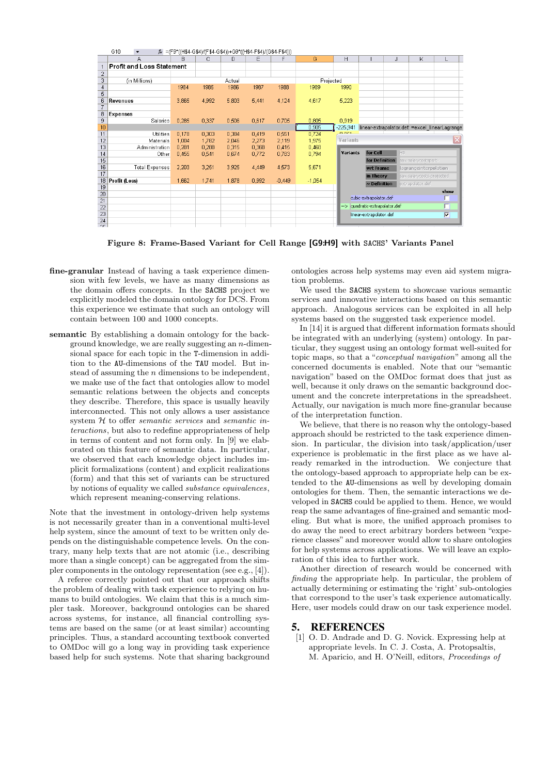|                       | G10<br>$\overline{\phantom{0}}$  |        |       | $f_{\ast} = (F9*(H54-G54)/(F54-G54)) + G9*(H54-F54)/(G54-F54)))$ |       |           |          |                     |                                                |                |                           |                |  |
|-----------------------|----------------------------------|--------|-------|------------------------------------------------------------------|-------|-----------|----------|---------------------|------------------------------------------------|----------------|---------------------------|----------------|--|
|                       | A                                | B      | C.    | $\mathbb{D}$                                                     | E     | F         | G        | H                   |                                                | J              | K                         |                |  |
|                       | <b>Profit and Loss Statement</b> |        |       |                                                                  |       |           |          |                     |                                                |                |                           |                |  |
| $\overline{a}$        |                                  |        |       |                                                                  |       |           |          |                     |                                                |                |                           |                |  |
|                       | (in Millions)                    | Actual |       |                                                                  |       | Projected |          |                     |                                                |                |                           |                |  |
| $\overline{4}$        |                                  | 1984   | 1985  | 1986                                                             | 1987  | 1988      | 1989     | 1990                |                                                |                |                           |                |  |
| 5                     |                                  |        |       |                                                                  |       |           |          |                     |                                                |                |                           |                |  |
| 6                     | Revenues                         | 3,865  | 4,992 | 5,803                                                            | 5,441 | 4,124     | 4,617    | 5,223               |                                                |                |                           |                |  |
| $\overline{7}$        |                                  |        |       |                                                                  |       |           |          |                     |                                                |                |                           |                |  |
| 8                     | Expenses                         |        |       |                                                                  |       |           |          |                     |                                                |                |                           |                |  |
| 9                     | Salaries                         | 0,285  | 0,337 | 0,506                                                            | 0,617 | 0,705     | 0.805    | 0,919               |                                                |                |                           |                |  |
| $\frac{10}{11}$       |                                  |        |       |                                                                  |       |           | 0,905    | $-225,941$<br>0.054 | linear-extrapolator.def: =excel linearLagrange |                |                           |                |  |
|                       | Utilities                        | 0,178  | 0,303 | 0,384                                                            | 0,419 | 0,551     | 0,724    |                     |                                                |                |                           |                |  |
| 12                    | Materials                        | 1.004  | 1,782 | 2,046                                                            | 2,273 | 2,119     | 1,975    | Variants            |                                                |                |                           |                |  |
| 13                    | Administration                   | 0.281  | 0,288 | 0,315                                                            | 0,368 | 0,415     | 0,468    | Variants            | <b>for Cell</b>                                | H <sub>9</sub> |                           |                |  |
| 14                    | Other                            | 0,455  | 0,541 | 0,674                                                            | 0,772 | 0,783     | 0,794    |                     | for Definition                                 |                |                           |                |  |
| 15                    |                                  |        |       |                                                                  |       |           |          |                     |                                                |                | sax-salarycostsperti-     |                |  |
| $\overline{16}$<br>17 | <b>Total Expenses</b>            | 2,203  | 3,251 | 3,925                                                            | 4,449 | 4,573     | 5,671    |                     | wrt Frame                                      |                | lagrangeinterpolation     |                |  |
| 18                    |                                  |        |       |                                                                  |       |           |          |                     | in Theory                                      |                | sax-salarycosts-projected |                |  |
| 19                    | Profit (Loss)                    | 1,662  | 1,741 | 1,878                                                            | 0,992 | $-0,449$  | $-1,054$ |                     | $\sim$ Definition                              |                | extrapolator.def          |                |  |
| 20                    |                                  |        |       |                                                                  |       |           |          |                     |                                                |                |                           | show           |  |
| 21                    |                                  |        |       |                                                                  |       |           |          |                     | cubic-extrapolator.def                         |                |                           |                |  |
| 22                    |                                  |        |       |                                                                  |       |           |          |                     | -- > quadratic-extrapolator.def                |                |                           | п              |  |
| $\overline{23}$       |                                  |        |       |                                                                  |       |           |          |                     | linear-extrapolator.def                        |                |                           | $\overline{v}$ |  |
| 24                    |                                  |        |       |                                                                  |       |           |          |                     |                                                |                |                           |                |  |
| $\overline{r}$        |                                  |        |       |                                                                  |       |           |          |                     |                                                |                |                           |                |  |

Figure 8: Frame-Based Variant for Cell Range [G9:H9] with SACHS' Variants Panel

- fine-granular Instead of having a task experience dimension with few levels, we have as many dimensions as the domain offers concepts. In the SACHS project we explicitly modeled the domain ontology for DCS. From this experience we estimate that such an ontology will contain between 100 and 1000 concepts.
- semantic By establishing a domain ontology for the background knowledge, we are really suggesting an  $n$ -dimensional space for each topic in the T-dimension in addition to the AU-dimensions of the TAU model. But instead of assuming the n dimensions to be independent, we make use of the fact that ontologies allow to model semantic relations between the objects and concepts they describe. Therefore, this space is usually heavily interconnected. This not only allows a user assistance system  $H$  to offer *semantic services* and *semantic in*teractions, but also to redefine appropriateness of help in terms of content and not form only. In [9] we elaborated on this feature of semantic data. In particular, we observed that each knowledge object includes implicit formalizations (content) and explicit realizations (form) and that this set of variants can be structured by notions of equality we called substance equivalences, which represent meaning-conserving relations.

Note that the investment in ontology-driven help systems is not necessarily greater than in a conventional multi-level help system, since the amount of text to be written only depends on the distinguishable competence levels. On the contrary, many help texts that are not atomic (i.e., describing more than a single concept) can be aggregated from the simpler components in the ontology representation (see e.g., [4]).

A referee correctly pointed out that our approach shifts the problem of dealing with task experience to relying on humans to build ontologies. We claim that this is a much simpler task. Moreover, background ontologies can be shared across systems, for instance, all financial controlling systems are based on the same (or at least similar) accounting principles. Thus, a standard accounting textbook converted to OMDoc will go a long way in providing task experience based help for such systems. Note that sharing background ontologies across help systems may even aid system migration problems.

We used the SACHS system to showcase various semantic services and innovative interactions based on this semantic approach. Analogous services can be exploited in all help systems based on the suggested task experience model.

In [14] it is argued that different information formats should be integrated with an underlying (system) ontology. In particular, they suggest using an ontology format well-suited for topic maps, so that a "conceptual navigation" among all the concerned documents is enabled. Note that our "semantic navigation" based on the OMDoc format does that just as well, because it only draws on the semantic background document and the concrete interpretations in the spreadsheet. Actually, our navigation is much more fine-granular because of the interpretation function.

We believe, that there is no reason why the ontology-based approach should be restricted to the task experience dimension. In particular, the division into task/application/user experience is problematic in the first place as we have already remarked in the introduction. We conjecture that the ontology-based approach to appropriate help can be extended to the AU-dimensions as well by developing domain ontologies for them. Then, the semantic interactions we developed in SACHS could be applied to them. Hence, we would reap the same advantages of fine-grained and semantic modeling. But what is more, the unified approach promises to do away the need to erect arbitrary borders between "experience classes" and moreover would allow to share ontologies for help systems across applications. We will leave an exploration of this idea to further work.

Another direction of research would be concerned with finding the appropriate help. In particular, the problem of actually determining or estimating the 'right' sub-ontologies that correspond to the user's task experience automatically. Here, user models could draw on our task experience model.

#### 5. REFERENCES

[1] O. D. Andrade and D. G. Novick. Expressing help at appropriate levels. In C. J. Costa, A. Protopsaltis, M. Aparicio, and H. O'Neill, editors, Proceedings of